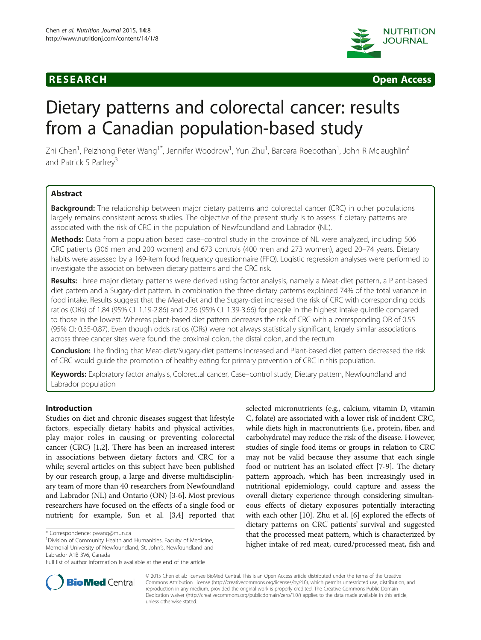



# Dietary patterns and colorectal cancer: results from a Canadian population-based study

Zhi Chen<sup>1</sup>, Peizhong Peter Wang<sup>1\*</sup>, Jennifer Woodrow<sup>1</sup>, Yun Zhu<sup>1</sup>, Barbara Roebothan<sup>1</sup>, John R Mclaughlin<sup>2</sup> and Patrick S Parfrey<sup>3</sup>

# Abstract

Background: The relationship between major dietary patterns and colorectal cancer (CRC) in other populations largely remains consistent across studies. The objective of the present study is to assess if dietary patterns are associated with the risk of CRC in the population of Newfoundland and Labrador (NL).

Methods: Data from a population based case–control study in the province of NL were analyzed, including 506 CRC patients (306 men and 200 women) and 673 controls (400 men and 273 women), aged 20–74 years. Dietary habits were assessed by a 169-item food frequency questionnaire (FFQ). Logistic regression analyses were performed to investigate the association between dietary patterns and the CRC risk.

Results: Three major dietary patterns were derived using factor analysis, namely a Meat-diet pattern, a Plant-based diet pattern and a Sugary-diet pattern. In combination the three dietary patterns explained 74% of the total variance in food intake. Results suggest that the Meat-diet and the Sugary-diet increased the risk of CRC with corresponding odds ratios (ORs) of 1.84 (95% CI: 1.19-2.86) and 2.26 (95% CI: 1.39-3.66) for people in the highest intake quintile compared to those in the lowest. Whereas plant-based diet pattern decreases the risk of CRC with a corresponding OR of 0.55 (95% CI: 0.35-0.87). Even though odds ratios (ORs) were not always statistically significant, largely similar associations across three cancer sites were found: the proximal colon, the distal colon, and the rectum.

Conclusion: The finding that Meat-diet/Sugary-diet patterns increased and Plant-based diet pattern decreased the risk of CRC would guide the promotion of healthy eating for primary prevention of CRC in this population.

Keywords: Exploratory factor analysis, Colorectal cancer, Case-control study, Dietary pattern, Newfoundland and Labrador population

# Introduction

Studies on diet and chronic diseases suggest that lifestyle factors, especially dietary habits and physical activities, play major roles in causing or preventing colorectal cancer (CRC) [[1,2](#page-7-0)]. There has been an increased interest in associations between dietary factors and CRC for a while; several articles on this subject have been published by our research group, a large and diverse multidisciplinary team of more than 40 researchers from Newfoundland and Labrador (NL) and Ontario (ON) [\[3](#page-7-0)-[6\]](#page-8-0). Most previous researchers have focused on the effects of a single food or nutrient; for example, Sun et al. [[3,4](#page-7-0)] reported that

selected micronutrients (e.g., calcium, vitamin D, vitamin C, folate) are associated with a lower risk of incident CRC, while diets high in macronutrients (i.e., protein, fiber, and carbohydrate) may reduce the risk of the disease. However, studies of single food items or groups in relation to CRC may not be valid because they assume that each single food or nutrient has an isolated effect [\[7](#page-8-0)-[9](#page-8-0)]. The dietary pattern approach, which has been increasingly used in nutritional epidemiology, could capture and assess the overall dietary experience through considering simultaneous effects of dietary exposures potentially interacting with each other [\[10\]](#page-8-0). Zhu et al. [\[6](#page-8-0)] explored the effects of dietary patterns on CRC patients' survival and suggested that the processed meat pattern, which is characterized by higher intake of red meat, cured/processed meat, fish and



© 2015 Chen et al.; licensee BioMed Central. This is an Open Access article distributed under the terms of the Creative Commons Attribution License [\(http://creativecommons.org/licenses/by/4.0\)](http://creativecommons.org/licenses/by/4.0), which permits unrestricted use, distribution, and reproduction in any medium, provided the original work is properly credited. The Creative Commons Public Domain Dedication waiver [\(http://creativecommons.org/publicdomain/zero/1.0/](http://creativecommons.org/publicdomain/zero/1.0/)) applies to the data made available in this article, unless otherwise stated.

<sup>\*</sup> Correspondence: [pwang@mun.ca](mailto:pwang@mun.ca) <sup>1</sup>

Division of Community Health and Humanities, Faculty of Medicine, Memorial University of Newfoundland, St. John's, Newfoundland and Labrador A1B 3V6, Canada

Full list of author information is available at the end of the article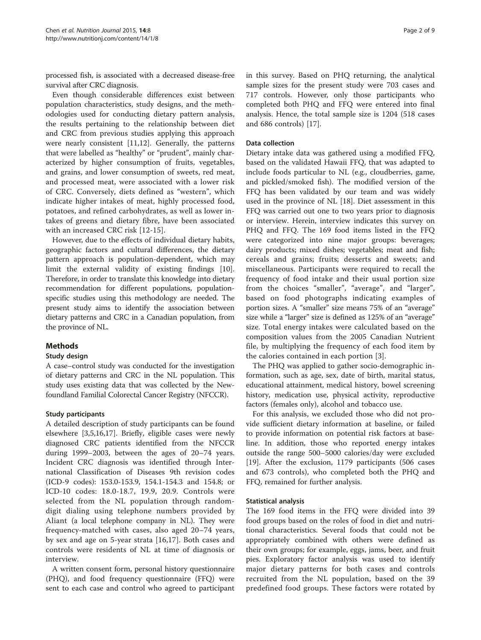processed fish, is associated with a decreased disease-free survival after CRC diagnosis.

Even though considerable differences exist between population characteristics, study designs, and the methodologies used for conducting dietary pattern analysis, the results pertaining to the relationship between diet and CRC from previous studies applying this approach were nearly consistent [[11](#page-8-0),[12](#page-8-0)]. Generally, the patterns that were labelled as "healthy" or "prudent", mainly characterized by higher consumption of fruits, vegetables, and grains, and lower consumption of sweets, red meat, and processed meat, were associated with a lower risk of CRC. Conversely, diets defined as "western", which indicate higher intakes of meat, highly processed food, potatoes, and refined carbohydrates, as well as lower intakes of greens and dietary fibre, have been associated with an increased CRC risk [[12-15](#page-8-0)].

However, due to the effects of individual dietary habits, geographic factors and cultural differences, the dietary pattern approach is population-dependent, which may limit the external validity of existing findings [\[10](#page-8-0)]. Therefore, in order to translate this knowledge into dietary recommendation for different populations, populationspecific studies using this methodology are needed. The present study aims to identify the association between dietary patterns and CRC in a Canadian population, from the province of NL.

# Methods

# Study design

A case–control study was conducted for the investigation of dietary patterns and CRC in the NL population. This study uses existing data that was collected by the Newfoundland Familial Colorectal Cancer Registry (NFCCR).

# Study participants

A detailed description of study participants can be found elsewhere [\[3,5](#page-7-0)[,16,17](#page-8-0)]. Briefly, eligible cases were newly diagnosed CRC patients identified from the NFCCR during 1999–2003, between the ages of 20–74 years. Incident CRC diagnosis was identified through International Classification of Diseases 9th revision codes (ICD-9 codes): 153.0-153.9, 154.1-154.3 and 154.8; or ICD-10 codes: 18.0-18.7, 19.9, 20.9. Controls were selected from the NL population through randomdigit dialing using telephone numbers provided by Aliant (a local telephone company in NL). They were frequency-matched with cases, also aged 20–74 years, by sex and age on 5-year strata [[16,17](#page-8-0)]. Both cases and controls were residents of NL at time of diagnosis or interview.

A written consent form, personal history questionnaire (PHQ), and food frequency questionnaire (FFQ) were sent to each case and control who agreed to participant in this survey. Based on PHQ returning, the analytical sample sizes for the present study were 703 cases and 717 controls. However, only those participants who completed both PHQ and FFQ were entered into final analysis. Hence, the total sample size is 1204 (518 cases and 686 controls) [[17\]](#page-8-0).

## Data collection

Dietary intake data was gathered using a modified FFQ, based on the validated Hawaii FFQ, that was adapted to include foods particular to NL (e.g., cloudberries, game, and pickled/smoked fish). The modified version of the FFQ has been validated by our team and was widely used in the province of NL [\[18](#page-8-0)]. Diet assessment in this FFQ was carried out one to two years prior to diagnosis or interview. Herein, interview indicates this survey on PHQ and FFQ. The 169 food items listed in the FFQ were categorized into nine major groups: beverages; dairy products; mixed dishes; vegetables; meat and fish; cereals and grains; fruits; desserts and sweets; and miscellaneous. Participants were required to recall the frequency of food intake and their usual portion size from the choices "smaller", "average", and "larger", based on food photographs indicating examples of portion sizes. A "smaller" size means 75% of an "average" size while a "larger" size is defined as 125% of an "average" size. Total energy intakes were calculated based on the composition values from the 2005 Canadian Nutrient file, by multiplying the frequency of each food item by the calories contained in each portion [[3\]](#page-7-0).

The PHQ was applied to gather socio-demographic information, such as age, sex, date of birth, marital status, educational attainment, medical history, bowel screening history, medication use, physical activity, reproductive factors (females only), alcohol and tobacco use.

For this analysis, we excluded those who did not provide sufficient dietary information at baseline, or failed to provide information on potential risk factors at baseline. In addition, those who reported energy intakes outside the range 500–5000 calories/day were excluded [[19\]](#page-8-0). After the exclusion, 1179 participants (506 cases and 673 controls), who completed both the PHQ and FFQ, remained for further analysis.

#### Statistical analysis

The 169 food items in the FFQ were divided into 39 food groups based on the roles of food in diet and nutritional characteristics. Several foods that could not be appropriately combined with others were defined as their own groups; for example, eggs, jams, beer, and fruit pies. Exploratory factor analysis was used to identify major dietary patterns for both cases and controls recruited from the NL population, based on the 39 predefined food groups. These factors were rotated by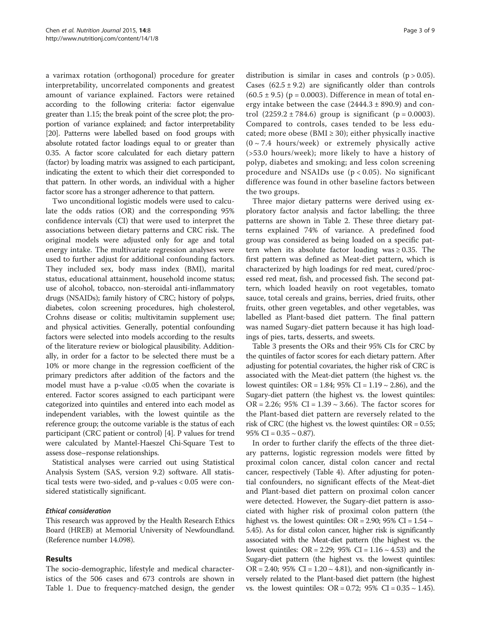a varimax rotation (orthogonal) procedure for greater interpretability, uncorrelated components and greatest amount of variance explained. Factors were retained according to the following criteria: factor eigenvalue greater than 1.15; the break point of the scree plot; the proportion of variance explained; and factor interpretability [[20](#page-8-0)]. Patterns were labelled based on food groups with absolute rotated factor loadings equal to or greater than 0.35. A factor score calculated for each dietary pattern (factor) by loading matrix was assigned to each participant, indicating the extent to which their diet corresponded to that pattern. In other words, an individual with a higher factor score has a stronger adherence to that pattern.

Two unconditional logistic models were used to calculate the odds ratios (OR) and the corresponding 95% confidence intervals (CI) that were used to interpret the associations between dietary patterns and CRC risk. The original models were adjusted only for age and total energy intake. The multivariate regression analyses were used to further adjust for additional confounding factors. They included sex, body mass index (BMI), marital status, educational attainment, household income status; use of alcohol, tobacco, non-steroidal anti-inflammatory drugs (NSAIDs); family history of CRC; history of polyps, diabetes, colon screening procedures, high cholesterol, Crohns disease or colitis; multivitamin supplement use; and physical activities. Generally, potential confounding factors were selected into models according to the results of the literature review or biological plausibility. Additionally, in order for a factor to be selected there must be a 10% or more change in the regression coefficient of the primary predictors after addition of the factors and the model must have a p-value  $< 0.05$  when the covariate is entered. Factor scores assigned to each participant were categorized into quintiles and entered into each model as independent variables, with the lowest quintile as the reference group; the outcome variable is the status of each participant (CRC patient or control) [[4\]](#page-7-0). P values for trend were calculated by Mantel-Haeszel Chi-Square Test to assess dose–response relationships.

Statistical analyses were carried out using Statistical Analysis System (SAS, version 9.2) software. All statistical tests were two-sided, and p-values < 0.05 were considered statistically significant.

#### Ethical consideration

This research was approved by the Health Research Ethics Board (HREB) at Memorial University of Newfoundland. (Reference number 14.098).

# Results

The socio-demographic, lifestyle and medical characteristics of the 506 cases and 673 controls are shown in Table [1](#page-3-0). Due to frequency-matched design, the gender distribution is similar in cases and controls  $(p > 0.05)$ . Cases  $(62.5 \pm 9.2)$  are significantly older than controls  $(60.5 \pm 9.5)$  (p = 0.0003). Difference in mean of total energy intake between the case  $(2444.3 \pm 890.9)$  and control  $(2259.2 \pm 784.6)$  group is significant (p = 0.0003). Compared to controls, cases tended to be less educated; more obese (BMI  $\geq$  30); either physically inactive  $(0 \sim 7.4$  hours/week) or extremely physically active (>53.0 hours/week); more likely to have a history of polyp, diabetes and smoking; and less colon screening procedure and NSAIDs use  $(p < 0.05)$ . No significant difference was found in other baseline factors between the two groups.

Three major dietary patterns were derived using exploratory factor analysis and factor labelling; the three patterns are shown in Table [2](#page-4-0). These three dietary patterns explained 74% of variance. A predefined food group was considered as being loaded on a specific pattern when its absolute factor loading was  $\geq 0.35$ . The first pattern was defined as Meat-diet pattern, which is characterized by high loadings for red meat, cured/processed red meat, fish, and processed fish. The second pattern, which loaded heavily on root vegetables, tomato sauce, total cereals and grains, berries, dried fruits, other fruits, other green vegetables, and other vegetables, was labelled as Plant-based diet pattern. The final pattern was named Sugary-diet pattern because it has high loadings of pies, tarts, desserts, and sweets.

Table [3](#page-5-0) presents the ORs and their 95% CIs for CRC by the quintiles of factor scores for each dietary pattern. After adjusting for potential covariates, the higher risk of CRC is associated with the Meat-diet pattern (the highest vs. the lowest quintiles:  $OR = 1.84$ ; 95% CI = 1.19 ~ 2.86), and the Sugary-diet pattern (the highest vs. the lowest quintiles: OR = 2.26; 95% CI =  $1.39 \sim 3.66$ ). The factor scores for the Plant-based diet pattern are reversely related to the risk of CRC (the highest vs. the lowest quintiles:  $OR = 0.55$ ; 95% CI =  $0.35 \sim 0.87$ ).

In order to further clarify the effects of the three dietary patterns, logistic regression models were fitted by proximal colon cancer, distal colon cancer and rectal cancer, respectively (Table [4\)](#page-6-0). After adjusting for potential confounders, no significant effects of the Meat-diet and Plant-based diet pattern on proximal colon cancer were detected. However, the Sugary-diet pattern is associated with higher risk of proximal colon pattern (the highest vs. the lowest quintiles: OR = 2.90; 95% CI =  $1.54 \sim$ 5.45). As for distal colon cancer, higher risk is significantly associated with the Meat-diet pattern (the highest vs. the lowest quintiles:  $OR = 2.29$ ;  $95\% CI = 1.16 \sim 4.53$ ) and the Sugary-diet pattern (the highest vs. the lowest quintiles:  $OR = 2.40$ ; 95%  $CI = 1.20 \sim 4.81$ ), and non-significantly inversely related to the Plant-based diet pattern (the highest vs. the lowest quintiles: OR = 0.72;  $95\%$  CI = 0.35 ~ 1.45).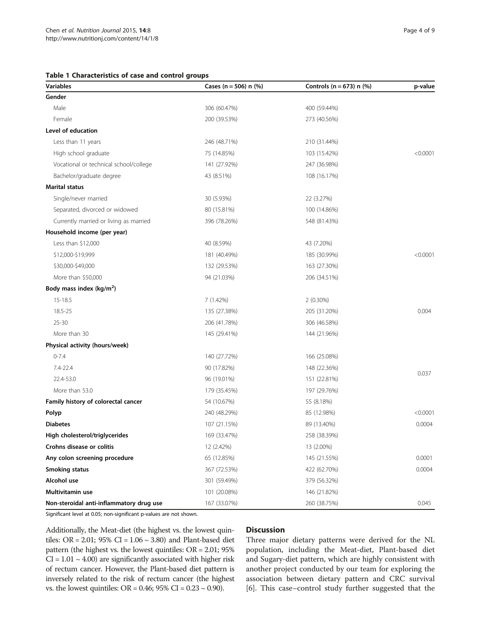#### <span id="page-3-0"></span>Table 1 Characteristics of case and control groups

| <b>Variables</b>                         | Cases (n = 506) n $(\%)$ | Controls ( $n = 673$ ) n (%) | p-value  |
|------------------------------------------|--------------------------|------------------------------|----------|
| Gender                                   |                          |                              |          |
| Male                                     | 306 (60.47%)             | 400 (59.44%)                 |          |
| Female                                   | 200 (39.53%)             | 273 (40.56%)                 |          |
| Level of education                       |                          |                              |          |
| Less than 11 years                       | 246 (48.71%)             | 210 (31.44%)                 |          |
| High school graduate                     | 75 (14.85%)              | 103 (15.42%)                 | < 0.0001 |
| Vocational or technical school/college   | 141 (27.92%)             | 247 (36.98%)                 |          |
| Bachelor/graduate degree                 | 43 (8.51%)               | 108 (16.17%)                 |          |
| <b>Marital status</b>                    |                          |                              |          |
| Single/never married                     | 30 (5.93%)               | 22 (3.27%)                   |          |
| Separated, divorced or widowed           | 80 (15.81%)              | 100 (14.86%)                 |          |
| Currently married or living as married   | 396 (78.26%)             | 548 (81.43%)                 |          |
| Household income (per year)              |                          |                              |          |
| Less than \$12,000                       | 40 (8.59%)               | 43 (7.20%)                   |          |
| \$12,000-\$19,999                        | 181 (40.49%)             | 185 (30.99%)                 | < 0.0001 |
| \$30,000-\$49,000                        | 132 (29.53%)             | 163 (27.30%)                 |          |
| More than \$50,000                       | 94 (21.03%)              | 206 (34.51%)                 |          |
| Body mass index ( $kg/m2$ )              |                          |                              |          |
| 15-18.5                                  | 7 (1.42%)                | $2(0.30\%)$                  |          |
| 18.5-25                                  | 135 (27.38%)             | 205 (31.20%)                 | 0.004    |
| $25 - 30$                                | 206 (41.78%)             | 306 (46.58%)                 |          |
| More than 30                             | 145 (29.41%)             | 144 (21.96%)                 |          |
| Physical activity (hours/week)           |                          |                              |          |
| $0 - 7.4$                                | 140 (27.72%)             | 166 (25.08%)                 |          |
| 7.4-22.4                                 | 90 (17.82%)              | 148 (22.36%)                 |          |
| 22.4-53.0                                | 96 (19.01%)              | 151 (22.81%)                 | 0.037    |
| More than 53.0                           | 179 (35.45%)             | 197 (29.76%)                 |          |
| Family history of colorectal cancer      | 54 (10.67%)              | 55 (8.18%)                   |          |
| Polyp                                    | 240 (48.29%)             | 85 (12.98%)                  | < 0.0001 |
| <b>Diabetes</b>                          | 107 (21.15%)             | 89 (13.40%)                  | 0.0004   |
| High cholesterol/triglycerides           | 169 (33.47%)             | 258 (38.39%)                 |          |
| Crohns disease or colitis                | 12 (2.42%)               | 13 (2.00%)                   |          |
| Any colon screening procedure            | 65 (12.85%)              | 145 (21.55%)                 | 0.0001   |
| Smoking status                           | 367 (72.53%)             | 422 (62.70%)                 | 0.0004   |
| Alcohol use                              | 301 (59.49%)             | 379 (56.32%)                 |          |
| Multivitamin use                         | 101 (20.08%)             | 146 (21.82%)                 |          |
| Non-steroidal anti-inflammatory drug use | 167 (33.07%)             | 260 (38.75%)                 | 0.045    |

Significant level at 0.05; non-significant p-values are not shown.

# Discussion

Additionally, the Meat-diet (the highest vs. the lowest quintiles: OR = 2.01;  $95\%$  CI = 1.06  $\sim$  3.80) and Plant-based diet pattern (the highest vs. the lowest quintiles: OR = 2.01; 95%  $CI = 1.01 \sim 4.00$ ) are significantly associated with higher risk of rectum cancer. However, the Plant-based diet pattern is inversely related to the risk of rectum cancer (the highest vs. the lowest quintiles: OR =  $0.46$ ; 95% CI =  $0.23 \sim 0.90$ ).

Three major dietary patterns were derived for the NL population, including the Meat-diet, Plant-based diet and Sugary-diet pattern, which are highly consistent with another project conducted by our team for exploring the association between dietary pattern and CRC survival [[6\]](#page-8-0). This case–control study further suggested that the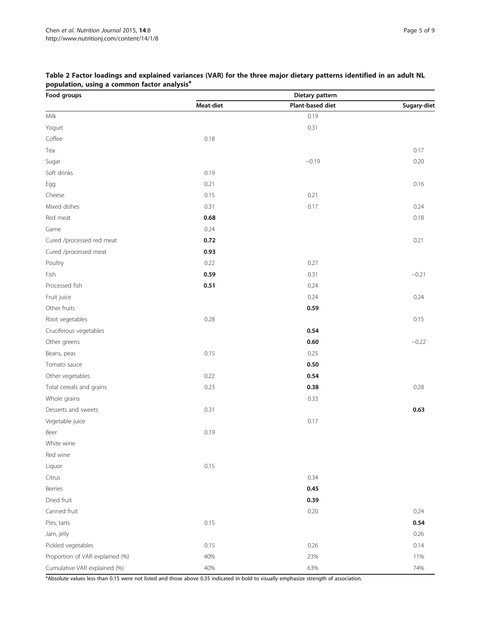| Food groups                     | Dietary pattern |                  |             |  |  |  |  |
|---------------------------------|-----------------|------------------|-------------|--|--|--|--|
|                                 | Meat-diet       | Plant-based diet | Sugary-diet |  |  |  |  |
| $\mathsf{Milk}$                 |                 | 0.19             |             |  |  |  |  |
| Yogurt                          |                 | 0.31             |             |  |  |  |  |
| Coffee                          | 0.18            |                  |             |  |  |  |  |
| Tea                             |                 |                  | 0.17        |  |  |  |  |
| Sugar                           |                 | $-0.19$          | 0.20        |  |  |  |  |
| Soft drinks                     | 0.19            |                  |             |  |  |  |  |
| Egg                             | 0.21            |                  | 0.16        |  |  |  |  |
| Cheese                          | 0.15            | 0.21             |             |  |  |  |  |
| Mixed dishes                    | 0.31            | 0.17             | 0.24        |  |  |  |  |
| Red meat                        | 0.68            |                  | 0.18        |  |  |  |  |
| Game                            | 0.24            |                  |             |  |  |  |  |
| Cured /processed red meat       | 0.72            |                  | 0.21        |  |  |  |  |
| Cured /processed meat           | 0.93            |                  |             |  |  |  |  |
| Poultry                         | 0.22            | 0.27             |             |  |  |  |  |
| Fish                            | 0.59            | 0.31             | $-0.21$     |  |  |  |  |
| Processed fish                  | 0.51            | 0.24             |             |  |  |  |  |
| Fruit juice                     |                 | 0.24             | 0.24        |  |  |  |  |
| Other fruits                    |                 | 0.59             |             |  |  |  |  |
| Root vegetables                 | 0.28            |                  | 0.15        |  |  |  |  |
| Cruciferous vegetables          |                 | 0.54             |             |  |  |  |  |
| Other greens                    |                 | 0.60             | $-0.22$     |  |  |  |  |
| Beans, peas                     | 0.15            | 0.25             |             |  |  |  |  |
| Tomato sauce                    |                 | 0.50             |             |  |  |  |  |
| Other vegetables                | 0.22            | 0.54             |             |  |  |  |  |
| Total cereals and grains        | 0.23            | 0.38             | 0.28        |  |  |  |  |
| Whole grains                    |                 | 0.33             |             |  |  |  |  |
| Desserts and sweets             | 0.31            |                  | 0.63        |  |  |  |  |
| Vegetable juice                 |                 | 0.17             |             |  |  |  |  |
| Beer                            | 0.19            |                  |             |  |  |  |  |
| White wine                      |                 |                  |             |  |  |  |  |
| Red wine                        |                 |                  |             |  |  |  |  |
| Liquor                          | 0.15            |                  |             |  |  |  |  |
| Citrus                          |                 | 0.34             |             |  |  |  |  |
| Berries                         |                 | 0.45             |             |  |  |  |  |
| Dried fruit                     |                 | 0.39             |             |  |  |  |  |
| Canned fruit                    |                 | 0.20             | 0.24        |  |  |  |  |
| Pies, tarts                     | 0.15            |                  | 0.54        |  |  |  |  |
| Jam, jelly                      |                 |                  | 0.26        |  |  |  |  |
| Pickled vegetables              | 0.15            | 0.26             | 0.14        |  |  |  |  |
| Proportion of VAR explained (%) | 40%             | 23%              | 11%         |  |  |  |  |
| Cumulative VAR explained (%)    | 40%             | 63%              | 74%         |  |  |  |  |

# <span id="page-4-0"></span>Table 2 Factor loadings and explained variances (VAR) for the three major dietary patterns identified in an adult NL population, using a common factor analysis<sup>a</sup>

<sup>a</sup> Absolute values less than 0.15 were not listed and those above 0.35 indicated in bold to visually emphasize strength of association.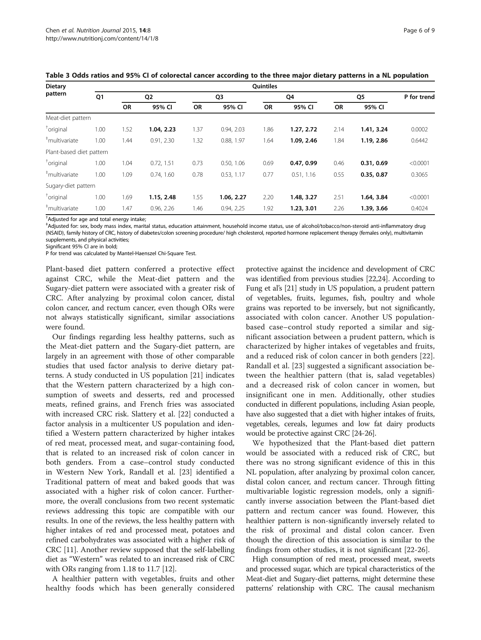| <b>Dietary</b><br>pattern | <b>Ouintiles</b> |                |            |        |            |        |            |        |            |             |
|---------------------------|------------------|----------------|------------|--------|------------|--------|------------|--------|------------|-------------|
|                           | Q1               | Q <sub>2</sub> |            | Q3     |            | Q4     |            | Q5     |            | P for trend |
|                           |                  |                | OR         | 95% CI | OR         | 95% CI | <b>OR</b>  | 95% CI | <b>OR</b>  | 95% CI      |
| Meat-diet pattern         |                  |                |            |        |            |        |            |        |            |             |
| <sup>†</sup> original     | 1.00             | 1.52           | 1.04, 2.23 | .37    | 0.94, 2.03 | 1.86   | 1.27, 2.72 | 2.14   | 1.41, 3.24 | 0.0002      |
| <sup>‡</sup> multivariate | 1.00             | 1.44           | 0.91, 2.30 | .32    | 0.88, 1.97 | 1.64   | 1.09, 2.46 | 1.84   | 1.19, 2.86 | 0.6442      |
| Plant-based diet pattern  |                  |                |            |        |            |        |            |        |            |             |
| <sup>†</sup> original     | 1.00             | 1.04           | 0.72, 1.51 | 0.73   | 0.50, 1.06 | 0.69   | 0.47, 0.99 | 0.46   | 0.31, 0.69 | < 0.0001    |
| <sup>‡</sup> multivariate | 1.00             | 1.09           | 0.74, 1.60 | 0.78   | 0.53, 1.17 | 0.77   | 0.51, 1.16 | 0.55   | 0.35, 0.87 | 0.3065      |
| Sugary-diet pattern       |                  |                |            |        |            |        |            |        |            |             |
| <sup>†</sup> original     | 1.00             | 1.69           | 1.15, 2.48 | 1.55   | 1.06, 2.27 | 2.20   | 1.48, 3.27 | 2.51   | 1.64, 3.84 | < 0.0001    |
| <sup>‡</sup> multivariate | 1.00             | 1.47           | 0.96, 2.26 | 1.46   | 0.94, 2.25 | 1.92   | 1.23, 3.01 | 2.26   | 1.39, 3.66 | 0.4024      |

<span id="page-5-0"></span>Table 3 Odds ratios and 95% CI of colorectal cancer according to the three major dietary patterns in a NL population

† Adjusted for age and total energy intake;

‡ Adjusted for: sex, body mass index, marital status, education attainment, household income status, use of alcohol/tobacco/non-steroid anti-inflammatory drug (NSAID), family history of CRC, history of diabetes/colon screening procedure/ high cholesterol, reported hormone replacement therapy (females only), multivitamin supplements, and physical activities;

Significant 95% CI are in bold;

P for trend was calculated by Mantel-Haenszel Chi-Square Test.

Plant-based diet pattern conferred a protective effect against CRC, while the Meat-diet pattern and the Sugary-diet pattern were associated with a greater risk of CRC. After analyzing by proximal colon cancer, distal colon cancer, and rectum cancer, even though ORs were not always statistically significant, similar associations were found.

Our findings regarding less healthy patterns, such as the Meat-diet pattern and the Sugary-diet pattern, are largely in an agreement with those of other comparable studies that used factor analysis to derive dietary patterns. A study conducted in US population [[21\]](#page-8-0) indicates that the Western pattern characterized by a high consumption of sweets and desserts, red and processed meats, refined grains, and French fries was associated with increased CRC risk. Slattery et al. [[22\]](#page-8-0) conducted a factor analysis in a multicenter US population and identified a Western pattern characterized by higher intakes of red meat, processed meat, and sugar-containing food, that is related to an increased risk of colon cancer in both genders. From a case–control study conducted in Western New York, Randall et al. [\[23\]](#page-8-0) identified a Traditional pattern of meat and baked goods that was associated with a higher risk of colon cancer. Furthermore, the overall conclusions from two recent systematic reviews addressing this topic are compatible with our results. In one of the reviews, the less healthy pattern with higher intakes of red and processed meat, potatoes and refined carbohydrates was associated with a higher risk of CRC [\[11\]](#page-8-0). Another review supposed that the self-labelling diet as "Western" was related to an increased risk of CRC with ORs ranging from 1.18 to 11.7 [[12](#page-8-0)].

A healthier pattern with vegetables, fruits and other healthy foods which has been generally considered protective against the incidence and development of CRC was identified from previous studies [\[22,24\]](#page-8-0). According to Fung et al's [\[21\]](#page-8-0) study in US population, a prudent pattern of vegetables, fruits, legumes, fish, poultry and whole grains was reported to be inversely, but not significantly, associated with colon cancer. Another US populationbased case–control study reported a similar and significant association between a prudent pattern, which is characterized by higher intakes of vegetables and fruits, and a reduced risk of colon cancer in both genders [[22](#page-8-0)]. Randall et al. [[23\]](#page-8-0) suggested a significant association between the healthier pattern (that is, salad vegetables) and a decreased risk of colon cancer in women, but insignificant one in men. Additionally, other studies conducted in different populations, including Asian people, have also suggested that a diet with higher intakes of fruits, vegetables, cereals, legumes and low fat dairy products would be protective against CRC [\[24](#page-8-0)-[26](#page-8-0)].

We hypothesized that the Plant-based diet pattern would be associated with a reduced risk of CRC, but there was no strong significant evidence of this in this NL population, after analyzing by proximal colon cancer, distal colon cancer, and rectum cancer. Through fitting multivariable logistic regression models, only a significantly inverse association between the Plant-based diet pattern and rectum cancer was found. However, this healthier pattern is non-significantly inversely related to the risk of proximal and distal colon cancer. Even though the direction of this association is similar to the findings from other studies, it is not significant [[22-26\]](#page-8-0).

High consumption of red meat, processed meat, sweets and processed sugar, which are typical characteristics of the Meat-diet and Sugary-diet patterns, might determine these patterns' relationship with CRC. The causal mechanism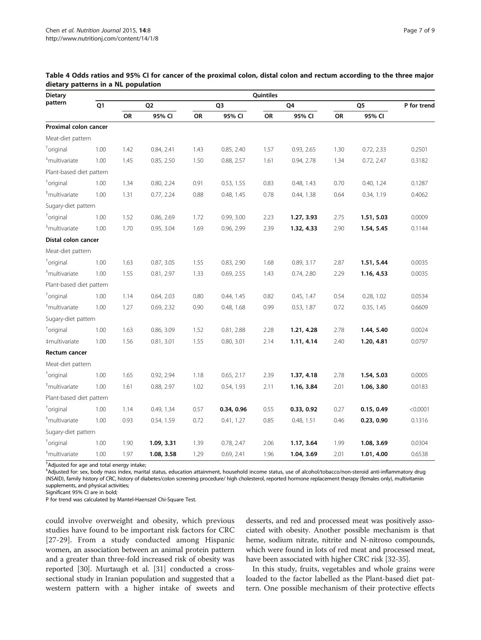| <b>Dietary</b><br>pattern |      | Quintiles      |            |                |            |           |            |           |            |             |
|---------------------------|------|----------------|------------|----------------|------------|-----------|------------|-----------|------------|-------------|
|                           | Q1   | Q <sub>2</sub> |            | Q <sub>3</sub> |            | Q4        |            | Q5        |            | P for trend |
|                           |      | <b>OR</b>      | 95% CI     | OR             | 95% CI     | <b>OR</b> | 95% CI     | <b>OR</b> | 95% CI     |             |
| Proximal colon cancer     |      |                |            |                |            |           |            |           |            |             |
| Meat-diet pattern         |      |                |            |                |            |           |            |           |            |             |
| <sup>†</sup> original     | 1.00 | 1.42           | 0.84, 2.41 | 1.43           | 0.85, 2.40 | 1.57      | 0.93, 2.65 | 1.30      | 0.72, 2.33 | 0.2501      |
| <sup>‡</sup> multivariate | 1.00 | 1.45           | 0.85, 2.50 | 1.50           | 0.88, 2.57 | 1.61      | 0.94, 2.78 | 1.34      | 0.72, 2.47 | 0.3182      |
| Plant-based diet pattern  |      |                |            |                |            |           |            |           |            |             |
| <sup>†</sup> original     | 1.00 | 1.34           | 0.80, 2.24 | 0.91           | 0.53, 1.55 | 0.83      | 0.48, 1.43 | 0.70      | 0.40, 1.24 | 0.1287      |
| <sup>‡</sup> multivariate | 1.00 | 1.31           | 0.77, 2.24 | 0.88           | 0.48, 1.45 | 0.78      | 0.44, 1.38 | 0.64      | 0.34, 1.19 | 0.4062      |
| Sugary-diet pattern       |      |                |            |                |            |           |            |           |            |             |
| <sup>†</sup> original     | 1.00 | 1.52           | 0.86, 2.69 | 1.72           | 0.99, 3.00 | 2.23      | 1.27, 3.93 | 2.75      | 1.51, 5.03 | 0.0009      |
| <sup>‡</sup> multivariate | 1.00 | 1.70           | 0.95, 3.04 | 1.69           | 0.96, 2.99 | 2.39      | 1.32, 4.33 | 2.90      | 1.54, 5.45 | 0.1144      |
| Distal colon cancer       |      |                |            |                |            |           |            |           |            |             |
| Meat-diet pattern         |      |                |            |                |            |           |            |           |            |             |
| <sup>†</sup> original     | 1.00 | 1.63           | 0.87, 3.05 | 1.55           | 0.83, 2.90 | 1.68      | 0.89, 3.17 | 2.87      | 1.51, 5.44 | 0.0035      |
| <sup>‡</sup> multivariate | 1.00 | 1.55           | 0.81, 2.97 | 1.33           | 0.69, 2.55 | 1.43      | 0.74, 2.80 | 2.29      | 1.16, 4.53 | 0.0035      |
| Plant-based diet pattern  |      |                |            |                |            |           |            |           |            |             |
| <sup>†</sup> original     | 1.00 | 1.14           | 0.64, 2.03 | 0.80           | 0.44, 1.45 | 0.82      | 0.45, 1.47 | 0.54      | 0.28, 1.02 | 0.0534      |
| <sup>‡</sup> multivariate | 1.00 | 1.27           | 0.69, 2.32 | 0.90           | 0.48, 1.68 | 0.99      | 0.53, 1.87 | 0.72      | 0.35, 1.45 | 0.6609      |
| Sugary-diet pattern       |      |                |            |                |            |           |            |           |            |             |
| <sup>†</sup> original     | 1.00 | 1.63           | 0.86, 3.09 | 1.52           | 0.81, 2.88 | 2.28      | 1.21, 4.28 | 2.78      | 1.44, 5.40 | 0.0024      |
| #multivariate             | 1.00 | 1.56           | 0.81, 3.01 | 1.55           | 0.80, 3.01 | 2.14      | 1.11, 4.14 | 2.40      | 1.20, 4.81 | 0.0797      |
| Rectum cancer             |      |                |            |                |            |           |            |           |            |             |
| Meat-diet pattern         |      |                |            |                |            |           |            |           |            |             |
| <sup>†</sup> original     | 1.00 | 1.65           | 0.92, 2.94 | 1.18           | 0.65, 2.17 | 2.39      | 1.37, 4.18 | 2.78      | 1.54, 5.03 | 0.0005      |
| <sup>‡</sup> multivariate | 1.00 | 1.61           | 0.88, 2.97 | 1.02           | 0.54, 1.93 | 2.11      | 1.16, 3.84 | 2.01      | 1.06, 3.80 | 0.0183      |
| Plant-based diet pattern  |      |                |            |                |            |           |            |           |            |             |
| <sup>†</sup> original     | 1.00 | 1.14           | 0.49, 1.34 | 0.57           | 0.34, 0.96 | 0.55      | 0.33, 0.92 | 0.27      | 0.15, 0.49 | < 0.0001    |
| <sup>‡</sup> multivariate | 1.00 | 0.93           | 0.54, 1.59 | 0.72           | 0.41, 1.27 | 0.85      | 0.48, 1.51 | 0.46      | 0.23, 0.90 | 0.1316      |
| Sugary-diet pattern       |      |                |            |                |            |           |            |           |            |             |
| <sup>†</sup> original     | 1.00 | 1.90           | 1.09, 3.31 | 1.39           | 0.78, 2.47 | 2.06      | 1.17, 3.64 | 1.99      | 1.08, 3.69 | 0.0304      |
| <sup>‡</sup> multivariate | 1.00 | 1.97           | 1.08, 3.58 | 1.29           | 0.69, 2.41 | 1.96      | 1.04, 3.69 | 2.01      | 1.01, 4.00 | 0.6538      |

<span id="page-6-0"></span>Table 4 Odds ratios and 95% CI for cancer of the proximal colon, distal colon and rectum according to the three major dietary patterns in a NL population

† Adjusted for age and total energy intake;

‡ Adjusted for: sex, body mass index, marital status, education attainment, household income status, use of alcohol/tobacco/non-steroid anti-inflammatory drug (NSAID), family history of CRC, history of diabetes/colon screening procedure/ high cholesterol, reported hormone replacement therapy (females only), multivitamin supplements, and physical activities;

Significant 95% CI are in bold;

P for trend was calculated by Mantel-Haenszel Chi-Square Test.

could involve overweight and obesity, which previous studies have found to be important risk factors for CRC [[27-29\]](#page-8-0). From a study conducted among Hispanic women, an association between an animal protein pattern and a greater than three-fold increased risk of obesity was reported [[30](#page-8-0)]. Murtaugh et al. [\[31\]](#page-8-0) conducted a crosssectional study in Iranian population and suggested that a western pattern with a higher intake of sweets and desserts, and red and processed meat was positively associated with obesity. Another possible mechanism is that heme, sodium nitrate, nitrite and N-nitroso compounds, which were found in lots of red meat and processed meat, have been associated with higher CRC risk [\[32-35\]](#page-8-0).

In this study, fruits, vegetables and whole grains were loaded to the factor labelled as the Plant-based diet pattern. One possible mechanism of their protective effects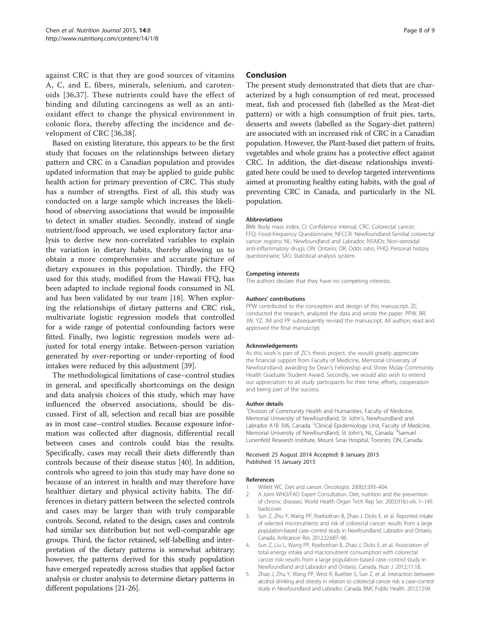<span id="page-7-0"></span>against CRC is that they are good sources of vitamins A, C, and E, fibers, minerals, selenium, and carotenoids [[36,37](#page-8-0)]. These nutrients could have the effect of binding and diluting carcinogens as well as an antioxidant effect to change the physical environment in colonic flora, thereby affecting the incidence and development of CRC [[36,38\]](#page-8-0).

Based on existing literature, this appears to be the first study that focuses on the relationships between dietary pattern and CRC in a Canadian population and provides updated information that may be applied to guide public health action for primary prevention of CRC. This study has a number of strengths. First of all, this study was conducted on a large sample which increases the likelihood of observing associations that would be impossible to detect in smaller studies. Secondly, instead of single nutrient/food approach, we used exploratory factor analysis to derive new non-correlated variables to explain the variation in dietary habits, thereby allowing us to obtain a more comprehensive and accurate picture of dietary exposures in this population. Thirdly, the FFQ used for this study, modified from the Hawaii FFQ, has been adapted to include regional foods consumed in NL and has been validated by our team [[18\]](#page-8-0). When exploring the relationships of dietary patterns and CRC risk, multivariate logistic regression models that controlled for a wide range of potential confounding factors were fitted. Finally, two logistic regression models were adjusted for total energy intake. Between-person variation generated by over-reporting or under-reporting of food intakes were reduced by this adjustment [[39\]](#page-8-0).

The methodological limitations of case–control studies in general, and specifically shortcomings on the design and data analysis choices of this study, which may have influenced the observed associations, should be discussed. First of all, selection and recall bias are possible as in most case–control studies. Because exposure information was collected after diagnosis, differential recall between cases and controls could bias the results. Specifically, cases may recall their diets differently than controls because of their disease status [\[40](#page-8-0)]. In addition, controls who agreed to join this study may have done so because of an interest in health and may therefore have healthier dietary and physical activity habits. The differences in dietary pattern between the selected controls and cases may be larger than with truly comparable controls. Second, related to the design, cases and controls had similar sex distribution but not well-comparable age groups. Third, the factor retained, self-labelling and interpretation of the dietary patterns is somewhat arbitrary; however, the patterns derived for this study population have emerged repeatedly across studies that applied factor analysis or cluster analysis to determine dietary patterns in different populations [\[21](#page-8-0)-[26](#page-8-0)].

#### Conclusion

The present study demonstrated that diets that are characterized by a high consumption of red meat, processed meat, fish and processed fish (labelled as the Meat-diet pattern) or with a high consumption of fruit pies, tarts, desserts and sweets (labelled as the Sugary-diet pattern) are associated with an increased risk of CRC in a Canadian population. However, the Plant-based diet pattern of fruits, vegetables and whole grains has a protective effect against CRC. In addition, the diet-disease relationships investigated here could be used to develop targeted interventions aimed at promoting healthy eating habits, with the goal of preventing CRC in Canada, and particularly in the NL population.

#### Abbreviations

BMI: Body mass index; CI: Confidence interval; CRC: Colorectal cancer; FFQ: Food-frequency Questionnaire; NFCCR: Newfoundland familial colorectal cancer registry; NL: Newfoundland and Labrador; NSAIDs: Non-steroidal anti-inflammatory drugs; ON: Ontario; OR: Odds ratio; PHQ: Personal history questionnaire; SAS: Statistical analysis system.

#### Competing interests

The authors declare that they have no competing interests.

#### Authors' contributions

PPW contributed to the conception and design of this manuscript. ZC conducted the research, analyzed the data and wrote the paper. PPW, BR, JW, YZ, JM and PP subsequently revised the manuscript. All authors read and approved the final manuscript.

#### Acknowledgements

As this work is part of ZC's thesis project, she would greatly appreciate the financial support from Faculty of Medicine, Memorial University of Newfoundland, awarding by Dean's Fellowship and Shree Mulay Community Health Graduate Student Award. Secondly, we would also wish to extend our appreciation to all study participants for their time, efforts, cooperation and being part of the success.

#### Author details

<sup>1</sup> Division of Community Health and Humanities, Faculty of Medicine, Memorial University of Newfoundland, St. John's, Newfoundland and Labrador A1B 3V6, Canada. <sup>2</sup>Clinical Epidemiology Unit, Faculty of Medicine Memorial University of Newfoundland, St John's, NL, Canada. <sup>3</sup>Samuel Lunenfeld Research Institute, Mount Sinai Hospital, Toronto, ON, Canada.

#### Received: 25 August 2014 Accepted: 8 January 2015 Published: 15 January 2015

#### References

- 1. Willett WC. Diet and cancer. Oncologist. 2000;5:393–404.
- 2. A Joint WHO/FAO Expert Consultation. Diet, nutrition and the prevention of chronic diseases. World Health Organ Tech Rep Ser. 2003;916:i-viii, 1–149. backcover.
- 3. Sun Z, Zhu Y, Wang PP, Roebothan B, Zhao J, Dicks E, et al. Reported intake of selected micronutrients and risk of colorectal cancer: results from a large population-based case–control study in Newfoundland, Labrador and Ontario, Canada. Anticancer Res. 2012;32:687–96.
- 4. Sun Z, Liu L, Wang PP, Roebothan B, Zhao J, Dicks E, et al. Association of total energy intake and macronutrient consumption with colorectal cancer risk: results from a large population-based case–control study in Newfoundland and Labrador and Ontario, Canada. Nutr J. 2012;11:18.
- 5. Zhao J, Zhu Y, Wang PP, West R, Buehler S, Sun Z, et al. Interaction between alcohol drinking and obesity in relation to colorectal cancer risk: a case–control study in Newfoundland and Labrador, Canada. BMC Public Health. 2012;12:94.